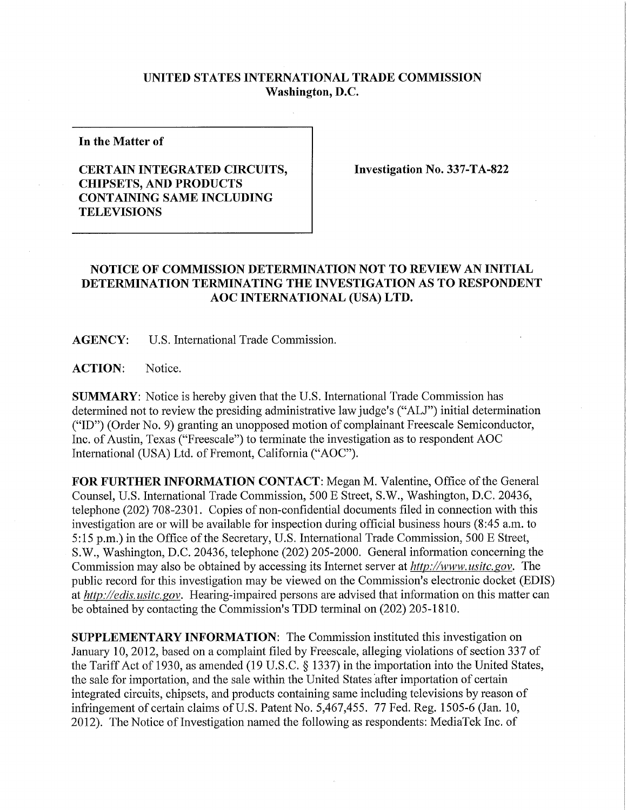## **UNITED STATES INTERNATIONAL TRADE COMMISSION Washington, D.C.**

**In the Matter of** 

## **CERTAIN INTEGRATED CIRCUITS, CHIPSETS, AND PRODUCTS CONTAINING SAME INCLUDING TELEVISIONS**

**Investigation No. 337-TA-822** 

## **NOTICE OF COMMISSION DETERMINATION NOT TO REVIEW AN INITIAL DETERMINATION TERMINATING THE INVESTIGATION AS TO RESPONDENT AOC INTERNATIONAL (USA) LTD.**

**AGENCY:** U.S. International Trade Commission.

ACTION: Notice.

**SUMMARY:** Notice is hereby given that the U.S. International Trade Commission has determined not to review the presiding administrative law judge's ("ALJ") initial determination ("ID") (Order No. 9) granting an unopposed motion of complainant Freescale Semiconductor, Inc. of Austin, Texas ("Freescale") to terminate the investigation as to respondent AOC International (USA) Ltd. of Fremont, California ("AOC").

**FOR FURTHER INFORMATION CONTACT:** Megan M. Valentine, Office of the General Counsel, U.S. International Trade Commission, 500 E Street, S.W., Washington, D.C. 20436, telephone (202) 708-2301. Copies of non-confidential documents filed in connection with this investigation are or will be available for inspection during official business hours (8:45 a.m. to 5:15 p.m.) in the Office of the Secretary, U.S. International Trade Commission, 500 E Street, S.W., Washington, D.C. 20436, telephone (202) 205-2000. General information concerning the Commission may also be obtained by accessing its Internet server at *http://www, usitc. gov.* The public record for this investigation may be viewed on the Commission's electronic docket (EDIS) at *http://edis. usitc. gov.* Hearing-impaired persons are advised that information on this matter can be obtained by contacting the Commission's TDD terminal on (202) 205-1810.

**SUPPLEMENTARY INFORMATION:** The Commission instituted this investigation on January 10, 2012, based on a complaint filed by Freescale, alleging violations of section 337 of the Tariff Act of 1930, as amended (19 U.S.C. § 1337) in the importation into the United States, the sale for importation, and the sale within the United States after importation of certain integrated circuits, chipsets, and products containing same including televisions by reason of infringement of certain claims of U.S. Patent No. 5,467,455. 77 Fed. Reg. 1505-6 (Jan. 10, 2012). The Notice of Investigation named the following as respondents: MediaTek Inc. of